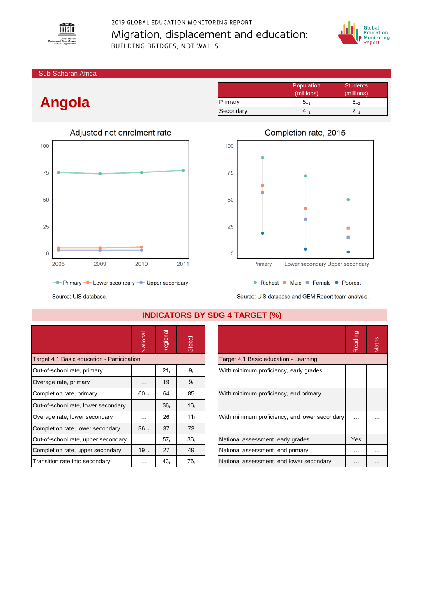

## 2019 GLOBAL EDUCATION MONITORING REPORT Migration, displacement and education: BUILDING BRIDGES, NOT WALLS



Sub-Saharan Africa

# **Angola**



- Primary - Lower secondary - Upper secondary

|           | Population | <b>Students</b> |
|-----------|------------|-----------------|
|           | (millions) | (millions)      |
| Primary   | $5_{+1}$   | $6_{-2}$        |
| Secondary | 4ււ        | $2_{-1}$        |
|           |            |                 |



• Richest Male Female • Poorest Source: UIS database and GEM Report team analysis.

Source: UIS database.

|                                            | Vational  | Regional        | Global          |                                               | Reading  | Maths |
|--------------------------------------------|-----------|-----------------|-----------------|-----------------------------------------------|----------|-------|
| Target 4.1 Basic education - Participation |           |                 |                 | Target 4.1 Basic education - Learning         |          |       |
| Out-of-school rate, primary                | $\cdots$  | 21 <sub>i</sub> | 9ì              | With minimum proficiency, early grades        | $\cdots$ |       |
| Overage rate, primary                      | $\cdots$  | 19              | 9 <sub>i</sub>  |                                               |          |       |
| Completion rate, primary                   | $60_{-2}$ | 64              | 85              | With minimum proficiency, end primary         | $\cdots$ |       |
| Out-of-school rate, lower secondary        | $\cdots$  | 36 <sub>i</sub> | 16 <sub>i</sub> |                                               |          |       |
| Overage rate, lower secondary              | $\cdots$  | 26              | 11 <sub>i</sub> | With minimum proficiency, end lower secondary | $\cdots$ |       |
| Completion rate, lower secondary           | $36_{-2}$ | 37              | 73              |                                               |          |       |
| Out-of-school rate, upper secondary        | $\cdots$  | 57 <sub>i</sub> | 36 <sub>i</sub> | National assessment, early grades             | Yes      | .     |
| Completion rate, upper secondary           | $19_{-2}$ | 27              | 49              | National assessment, end primary              | $\cdots$ | .     |
| Transition rate into secondary             | .         | 43 <sub>i</sub> | 76 <sub>i</sub> | National assessment, end lower secondary      | $\cdots$ |       |

### **INDICATORS BY SDG 4 TARGET (%)**

|                                               | Reading |  |
|-----------------------------------------------|---------|--|
| Target 4.1 Basic education - Learning         |         |  |
| With minimum proficiency, early grades        |         |  |
| With minimum proficiency, end primary         |         |  |
| With minimum proficiency, end lower secondary |         |  |
| National assessment, early grades             | Yes     |  |
| National assessment, end primary              |         |  |
| National assessment, end lower secondary      |         |  |

# Completion rate, 2015